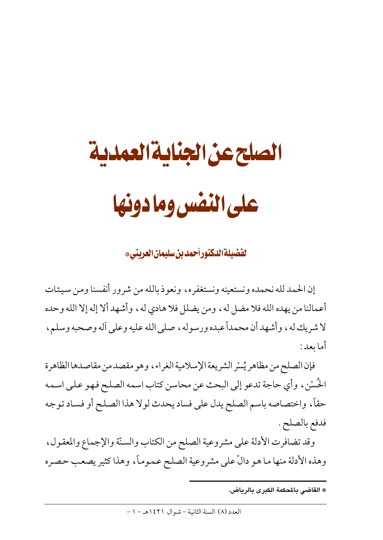# الصلح عن الجناية العمدية على النفس وما دونها

**لفضيلة الدكتور أحمد بن سليمان العريني\*** 

إن الحمد لله نحمده ونستعينه ونستغفره، ونعوذ بالله من شرور أنفسنا ومن سيئات أعمالنا من يهده الله فلا مضل له ، ومن يضلل فلا هادي له ، وأشهد ألا إله إلا الله وحده لا شريك له ، وأشهد أن محمداً عبده ورسوله ، صلى الله عليه وعلى أله وصحبه وسلم ، أما يعد :

فإن الصلح من مظاهر يُسْر الشريعة الإسلامية الغراء، وهو مقصد من مقاصدها الظاهرة الحُسْن ، وأي حاجة تدعو إلى البحث عن محاسن كتاب اسمه الصلح فهو على اسمه حقاً، واختصاصه باسم الصلح يدل على فساد يحدث لولا هذا الصلح أو فساد توجه فدفع بالصلح .

وقد تضافرت الأدلة على مشروعية الصلح من الكتاب والسنّة والإجماع والمعقول، وهذه الأدلة منها ما هو دالٌّ على مشروعية الصلح عموماً، وهذا كثير يصعب حصره

<sup>\*</sup> القاضى بالمحكمة الكبرى بالرياض.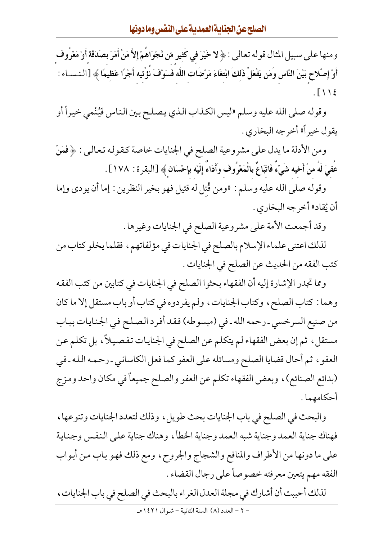ومنها على سبيل المثال قوله تعالى : ﴿ لا خَيْرَ فِي كَثِيرٍ مّنٍ نَّجْوَاهُمْ إِلاَّ مَنْ أَمَرَ بِصَدَقة أَوْ مَعْرُوف أَوْ إِصْلاحٍ بَيْنَ النَّاسِ وَمَن يَفْعَلْ ذَلكَ ابْتغَاءَ مَرْضَات اللَّه فَسَوْفَ نؤْتيه أَجْرًا عَظيمًا ﴾ [النـسـاء :  $.\lceil \cdot \rangle$ 

وقوله صلى الله عليه وسلم «ليس الكذاب الذي يصلح بين الناس فَيُنْمى خيراً أو يقول خيراً» أخرجه البخاري .

ومن الأدلة ما يدل على مشروعية الصلح في الجنايات خاصة كقوله تعالى : ﴿فَمَنْ عُفيَ لَهُ منْ أَخيه شَيْءٌ فَاتّبَاعٌ بالْمَعْرُوف وَأَدَاءٌ إِلَيْه بِإِحْسَانٍ ﴾ [البقرة : ١٧٨] .

وقوله صلى الله عليه وسلم : «ومن قُتل له قتيل فهو بخير النظرين : إما أن يودي وإما أن يُقاد» أخر جه البخاري .

وقد أجمعت الأمة على مشروعية الصلح في الجنايات وغيرها .

لذلك اعتنى علماء الإسلام بالصلح في الجنايات في مؤلفاتهم، فقلما يخلو كتاب من كتب الفقه من الحديث عن الصلح في الجنايات .

ومما تجدر الإشارة إليه أن الفقهاء بحثوا الصلح في الجنايات في كتابين من كتب الفقه وهما : كتاب الصلح، وكتاب الجنايات، ولم يفردوه في كتاب أو باب مستقل إلا ما كان من صنيع السرخسي ـ رحمه الله ـ في (مبسوطه) فقد أفرد الصلح في الجنايات بباب مستقل، ثم إن بعض الفقهاء لم يتكلم عن الصلح في الجنايات تفصيلاً، بل تكلم عن العفو ، ثم أحال قضايا الصلح ومسائله على العفو كما فعل الكاساني ـ رحمه الله ـ في (بدائع الصنائع)، وبعض الفقهاء تكلم عن العفو والصلح جميعاً في مكان واحد ومزج أحكامهما .

والبحث في الصلح في باب الجنايات بحث طويل ، وذلك لتعدد الجنايات وتنوعها ، فهناك جناية العمد وجناية شبه العمد وجناية الخطأ ، وهناك جناية علىي النفس وجناية على ما دونها من الأطراف والمنافع والشجاج والجروح، ومع ذلك فهو باب من أبواب الفقه مهم يتعين معرفته خصوصاً على رجال القضاء .

لذلك أحببت أن أشارك في مجلة العدل الغراء بالبحث في الصلح في باب الجنايات، - ٢ - العدد (٨) السنة الثانية - شوال ١٤٢١هـ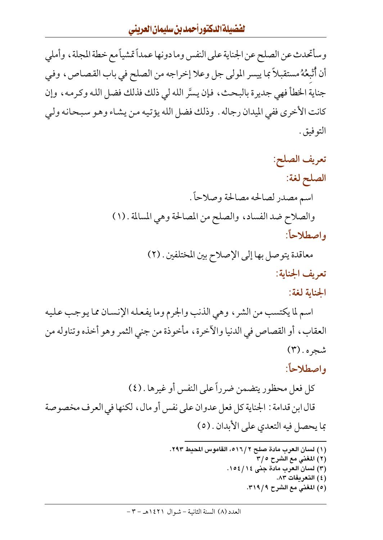وسأتحدث عن الصلح عن الجناية على النفس وما دونها عمداً تمشياً مع خطة المجلة ، وأملى أن أُتْبِعُهُ مستقبلاً بما ييسر المولى جل وعلا إخراجه من الصلح في باب القصاص، وفي جناية الخطأ فهي جديرة بالبحث، فإن يسَّر الله لي ذلك فذلك فضل الله وكرمه، وإن كانت الأخرى ففي الميدان رجاله . وذلك فضل الله يؤتيه من يشاء وهو سبحانه ولي التوفيق .

> تعريف الصلح: الصلح لغة: اسم مصدر لصالحه مصالحة وصلاحاً . والصلاح ضد الفساد، والصلح من المصالحة وهي المسالمة . (١) واصطلاحاً:

> > معاقدة يتوصل بها إلى الإصلاح بين المختلفين . (٢) تعريف الجناية: الجناية لغة:

اسم لما يكتسب من الشر ، وهي الذنب والجرم وما يفعله الإنسان مما يوجب عليه العقاب، أو القصاص في الدنيا والآخرة، مأخوذة من جني الثمر وهو أخذه وتناوله من شجره . (۳)

واصطلاحاً:

كل فعل محظور يتضمن ضرراً على النفس أو غيرها . (٤) قال ابن قدامة : الجناية كل فعل عدوان على نفس أو مال ، لكنها في العرف مخصوصة بما يحصل فيه التعدي على الأبدان . (٥)

- (١) لسان العرب مادة صلح ٢ /١٦، القاموس المحيط ٢٩٣. (٢) المغني مع الشرح ٢/٥ (٣) لسان العرب مادة جني ١٤/١٥٤. (٤) التعريفات ٨٣.
	- (٥) المغنى مع الشرح ٣١٩/٩.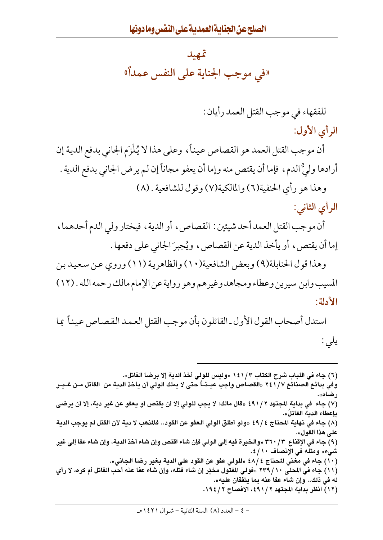### تمهيد «في موجب الجناية على النفس عمداً»

للفقهاء في موجب القتل العمد رأيان :

الرأى الأول:

أن موجب القتل العمد هو القصاص عيناً، وعلى هذا لا يُلْزَم الجاني بدفع الدية إن أرادها وليُّ الدم، فإما أن يقتص منه وإما أن يعفو مجاناً إن لم يرض الجاني بدفع الدية . وهذا هو رأى الحنفية(٦) والمالكية(٧) وقول للشافعية . (٨)

الرأى الثاني:

أن موجب القتل العمد أحد شيئين : القصاص، أو الدية، فيختار ولي الدم أحدهما، إما أن يقتص ، أو يأخذ الدية عن القصاص ، ويُجبرَ الجاني على دفعها .

وهذا قول الحنابلة(٩) وبعض الشافعية(١٠) والظاهرية (١١) وروى عن سعيد بن المسيب وابن سيرين وعطاء ومجاهد وغيرهم وهو رواية عن الإمام مالك رحمه الله . (١٢) الأدلة:

استدل أصحاب القول الأول ـ القائلون بأن موجب القتل العمد القصاص عيناً بما یلي :

(٦) جاء في اللباب شرح الكتاب ١٤١/٣ «وليس للولي أخذ الدية إلا برضا القاتل». وفي بدائع الصنائع ٧ / \ ٢٤ «القصاص واجب عيـنـــاً حتى لا يملك الولى أن يأخذ الدية من القاتل مـن غـيـر رضاه». (٧) جاء في بداية المجتهد ٢ /٤٩١ «قال مالك: لا يجب للولي إلا أن يقتص أو يعفو عن غير دية، إلا أن يرضي ىإعطاء الدىة القاتلَ». (٨) جاء في نهاية المحتاج ٤٩/٤ «ولو أطلق الولي العفو عن القود.. فالمذهب لا دية لأن القتل لم يوجب الدية على هذا القول». (٩) جاء في الإقناع ٣٦٠/٣ «والخيرة فيه إلى الولى فإن شاء اقتص وإن شاء أخذ الدية، وإن شاء عفا إلى غير شيء» ومثله في الإنصاف ١٠/ ٤. (١٠) جاء في مغنى المحتاج ٤٨/٤ «للولي عفو عن القود على الدبة بغير رضا الجاني». (١١) جاء في المحلي ٢٣٩/١٠ «فولي المقتول مخيّر إن شاء قتله، وإن شاء عفا عنه أحب القاتل أم كره، لا رأى له في ذلك.. وإن شاء عفا عنه بما يتفقان عليه». (١٢) انظر بداية المجتهد ٢ / ٤٩١، الإفصاح ٢ / ١٩٤.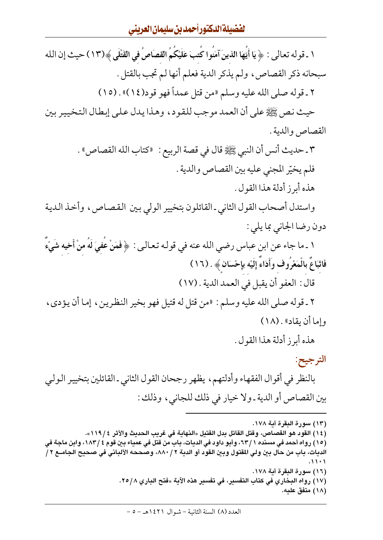#### الفضيلة الدكتور أحمد بن سليمان العرينى

١ ـ قوله تعالى : ﴿ يَا أَيُّهَا الَّذِينَ آمَنُوا كُتبَ عَلَيْكُمُ القصَاصُ في القَتْلَى ﴾(١٣) حيث إن الله سبحانه ذكر القصاص، ولم يذكر الدية فعلم أنها لم تجب بالقتل . ٢ ـ قوله صلى الله عليه وسلم «من قتل عمداً فهو قود(١٤)» . (١٥) حيث نص ﷺ على أن العمد موجب للقود، وهذا يدل على إبطال التخيير بين القصاص والدية . ٣ ـ حديث أنس أن النبي ﷺ قال في قصة الربيع : «كتاب الله القصاص» . فلم يخيّر المجنى عليه بين القصاص والدية . هذه أبرز أدلة هذا القول . واستدل أصحاب القول الثاني ـ القائلون بتخيير الولي بين القصاص، وأخذ الدية دون رضا الجاني بما يلي : ١ ـ ما جاء عن ابن عباس رضي الله عنه في قولـه تعـالـى : ﴿فَمَنْ عَفيَ لَهُ منْ أَخيه شَيْءٌ فَاتَّبَاعٌ بِالْمَعْرُوفِ وَأَدَاءٌ إِلَيْه بِإِحْسَانٍ ﴾ . (١٦) قال : العفو أن يقبل في العمد الدية . (١٧) ٢ ـ قوله صلى الله عليه وسلم : «من قتل له قتيل فهو بخير النظرين ، إما أن يؤدي ، وإما أن يقاد» . (١٨) هذه أبرز أدلة هذا القول . الترجيح: بالنظر في أقوال الفقهاء وأدلتهم، يظهر رجحان القول الثاني ـ القائلين بتخيير الولي بين القصاص أو الدية ـ ولا خيار في ذلك للجاني، وذلك : (١٣) سورة البقرة آية ١٧٨. (١٤) القود هو القصاص، وقتل القاتل بدل القتيل «النهاية في غريب الحديث والأثر ١١٩/٤». (١٥) رواه أحمد في مسنده ١ / ٦٣، وأبو داود في الديات، باب من قتل في عمياء بين قوم ٢ / ١٨٣، وابن ماجة في الديات، باب من حال بين ولي المقتول وبين القود أو الدية ٢ / ٨٨٠، وصححه الألباني في صحيح الجامـع ٢ / (١٦) سورة البقرة آية ١٧٨.

- (١٧) رواه البخاري في كتاب التفسير، في تفسير هذه الآية «فتح الباري ٢٥/٨.
	- (١٨) متفق عليه.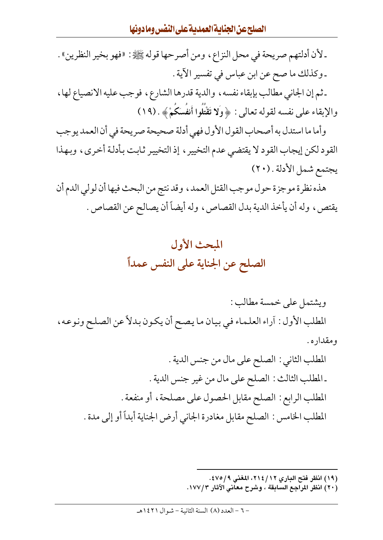ـ لأن أدلتهم صريحة في محل النزاع ، ومن أصرحها قوله ﷺ: «فهو بخير النظرين» . ـ وكذلك ما صح عن ابن عباس في تفسير الآية . ـ ثم إن الجاني مطالب بإبقاء نفسه ، والدية قدرها الشارع ، فوجب عليه الانصياع لها ، والإبقاء على نفسه لقوله تعالى: ﴿ وَلَا تَقْتُلُوا أَنفُسَكُمْ ﴾. (١٩) وأما ما استدل به أصحاب القول الأول فهي أدلة صحيحة صريحة في أن العمد يوجب القود لكن إيجاب القود لا يقتضي عدم التخيير ، إذ التخيير ثابت بأدلة أخرى ، وبهذا يجتمع شمل الأدلة . (٢٠) هذه نظرة موجزة حول موجب القتل العمد ، وقد نتج من البحث فيها أن لولي الدم أن

يقتص، وله أن يأخذ الدية بدل القصاص، وله أيضاً أن يصالح عن القصاص .



ويشتمل على خمسة مطالب : المطلب الأول : آراء العلماء في بيان ما يصح أن يكون بدلاً عن الصلح ونوعه، و مقدار ه .

- المطلب الثاني : الصلح على مال من جنس الدية . ـ المطلب الثالث : الصلح على مال من غير جنس الدية . المطلب الرابع : الصلح مقابل الحصول على مصلحة ، أو منفعة . المطلب الخامس : الصلح مقابل مغادرة الجاني أرض الجناية أبداً أو إلى مدة .
	- (١٩) انظر فتح الباري ٢١٤/١٢، المغنى ٤٧٥/٩.
	- (٢٠) انظر المراجع السابقة ، وشرح معاني الآثار ١٧٧/٣.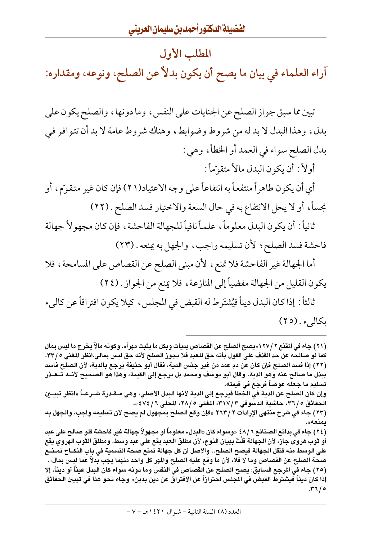#### المطلب الأول

آراء العلماء في بيان ما يصح أن يكون بدلاً عن الصلح، ونوعه، ومقداره:

تبين مما سبق جواز الصلح عن الجنايات على النفس ، وما دونها ، والصلح يكون على بدل، وهذا البدل لا بد له من شروط وضوابط، وهناك شروط عامة لا بد أن تتوافر في بدل الصلح سواء في العمد أو الخطأ، وهي :

أولاً : أن يكون البدل مالاً متقوّماً :

أي أن يكون طاهراً منتفعاً به انتفاعاً على وجه الاعتياد(٢١) فإن كان غير متقوّم، أو نجساً، أو لا يحل الانتفاع به في حال السعة والاختيار فسد الصلح . (٢٢)

ثانياً : أن يكون البدل معلوماً ، علماً نافياً للجهالة الفاحشة ، فإن كان مجهولاً جهالة فاحشة فسد الصلح؛ لأن تسليمه واجب، والجهل به يمنعه . (٢٣)

أما الجهالة غير الفاحشة فلا تمنع، لأن مبنى الصلح عن القصاص على المسامحة، فلا يكون القليل من الجهالة مفضياً إلى المنازعة ، فلا يمنع من الجواز . (٢٤)

ثالثاً : إذا كان البدل ديناً فيُشتَرط له القبض في المجلس ، كيلا يكون افتراقاً عن كاليء بكاليء . (٢٥)

(٢١) جاء في المقنع ٢ /١٢٧ «يصح الصلح عن القصاص بديات وبكل ما يثبت مهراً». وكونه مالاً يخرج ما ليس بمال كما لو صالحه عن حد القذف على القول بأنه حق للعبد فلا يجوز الصلح لأنه حق ليس بمالى.انظر المغنى ٣٣/٥. (٢٢) إذا فسد الصلح فإن كان عن دم عمد من غير جنس الدية، فقال أبو حنيفة يرجع بالدية، لأن الصلح فاسد ببذل ما صالح عنه وهو الدية. وقال أبو يوسف ومحمد بل يرجع إلى القيمة، وهذا هو الصحيح لأنــه تــعــذر تسليم ما جعله عوضاً فرجع في قيمته.

وإن كان الصلح عن الدية في الخطأ فيرجع إلى الدية لأنها البدل الأصلي، وهي مــقـدرة شــرعـــأ «انظر تبيـــين الحقائق ٥ / ٣٦، حاشية الدسوقي ٣ / ٣١٧، المغنى ٥ / ٢٨، المحلي ٤ / ٤٧٤ ».

(٢٣) جاء في شرح منتهي الإرادات ٢ /٢٦٣ «فإن وقع الصلح بمجهول لم يصح لأن تسليمه واجب، والجهل به ىمنغە».

(٢٤) جاء في بدائع الصنائع ٦ /٤٨ «وسواء كان «البدل» معلوماً أو مجهولاً جهالة غير فاحشة فلو صالح على عبد أو ثوب هروى جاز، لأن الجهالة قلَّتْ ببيان النوع، لأن مطلق العبد يقع على عبد وسط، ومطلق الثوب الهروي يقع على الوسط منه فتقل الجهالة فيصح الصلح.. والأصل أن كل جهالة تمنع صحة التسمية في باب النكــاح تمــنــع صحة الصلح عن القصاص وما لا فلا، لأن ما وقع عليه الصلح والمهر كل واحد منهما يجب بدلاً عما ليس بمال». (٢٥) جاء في المرجع السابق: بصح الصلح عن القصاص في النفس وما دونه سواء كان البدل عبناً أو دبناً، إلا إذا كان ديناً فيشترط القبض في المجلس احترازاً عن الافتراق عن دين بدين» وجاء نحو هذا في تبيين الحقائق  $.77/0$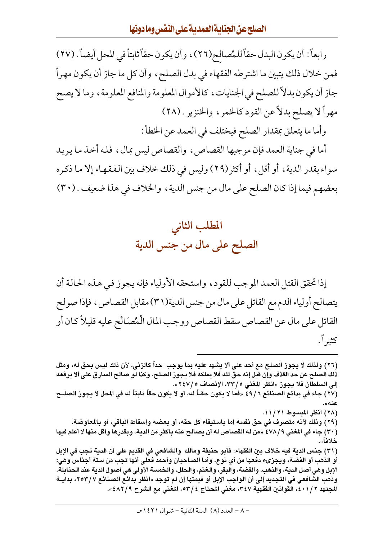رابعاً : أن يكون البدل حقاً للمُصالح(٢٦)، وأن يكون حقاً ثابتاً في المحل أيضاً . (٢٧) فمن خلال ذلك يتبين ما اشترطه الفقهاء في بدل الصلح، وأن كل ما جاز أن يكون مهراً جاز أن يكون بدلاً للصلح في الجنايات، كالأموال المعلومة والمنافع المعلومة، وما لا يصح مهراً لا يصلح بدلاً عن القود كالخمر ، والخنزير . (٢٨)

وأما ما يتعلق بمقدار الصلح فيختلف في العمد عن الخطأ :

أما في جناية العمد فإن موجبها القصاص، والقصاص ليس بمال، فله أخذ ما يريد سواء بقدر الدية، أو أقل، أو أكثر(٢٩) وليس في ذلك خلاف بين الفقهاء إلا ما ذكره بعضهم فيما إذا كان الصلح على مال من جنس الدية ، والخلاف في هذا ضعيف . (٣٠)



إذا تحقق القتل العمد الموجب للقود، واستحقه الأولياء فإنه يجوز في هذه الحالة أن يتصالح أولياء الدم مع القاتل على مال من جنس الدية(٣١) مقابل القصاص ، فإذا صولح القاتل على مال عن القصاص سقط القصاص ووجب المال الْمُصَالَح عليه قليلاً كان أو كثيراً .

(٢٦) ولذلك لا يجوز الصلح مع أحد على ألا يشهد عليه بما يوجب حداً كالزنى، لأن ذلك ليس بحق له، ومثل ذلك الصلح عن حد القذف وإن قيل إنه حق لله فلا يملكه فلا يجوز الصلح. وكذا لو صالح السارق على ألا يرفعه إلى السلطان فلا يجوز «انظر المغنى ٢٣/، الإنصاف ٢٤٧/٥». (٢٧) جاء في بدائع الصنائع ٤٩/٦ «فما لا يكون حقــاً له، أو لا يكون حقاً ثابتاً له في المحل لا يجوز الصلــح عنه». (٢٨) انظر المبسوط ١١/٢١. (٢٩) وذلك لأنه متصرف في حق نفسه إما باستبفاء كل حقه، أو بعضه وإسقاط الباقي، أو بالمعاوضة. (٣٠) جاء في المغنى ٤٧٨/٩ «من له القصاص له أن يصالح عنه بأكثر من الدية، وبقدرها وأقل منها لا أعلم فيها (٣١) جنس الدبة فيه خلاف بن الفقهاء: فأبو حنيفة ومالك والشافعي في القديم على أن الدبة تجب في الإبل أو الذهب أو الفضة، ويجزىء دفعها من أي نوع. وأما الصاحبان وأحمد فعلى أنها تجب من ستة أجناس وهي: الإبل وهي أصل الدبة، والذهب، والفضة، والبقر، والغنم، والحلل، والخمسة الأولى هي أصول الدبة عند الحنابلة. وذهب الشافعي في التجديد إلى أن الواجب الإبل أو قيمتها إن لم توجد «انظر بدائع الصنائع ٢٥٣/٧، بدائة المجتهد ٤٠١/٢، القوانين الفقهية ٣٤٧، مغنى المحتاج ٤ /٥٣، المغنى مع الشرح ٤٨٢/٩».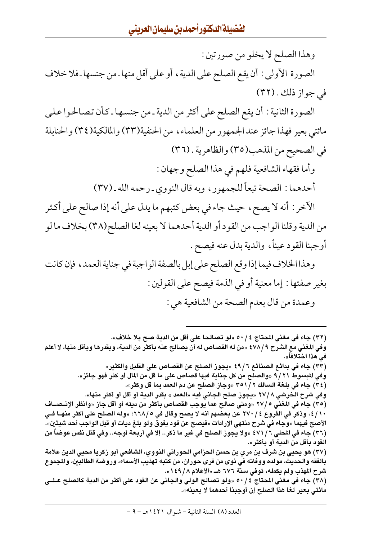وهذا الصلح لا يخلو من صورتين :

الصورة الأولى : أن يقع الصلح على الدية ، أو على أقل منها ـ من جنسها ـ فلا خلاف في جواز ذلك . (٣٢)

الصورة الثانية : أن يقع الصلح على أكثر من الدية ـ من جنسها ـ كأن تصالحوا على مائتي بعير فهذا جائز عند الجمهور من العلماء، من الحنفية(٣٣) والمالكية(٣٤) والحنابلة في الصحيح من المذهب(٣٥) والظاهرية . (٣٦)

وأما فقهاء الشافعية فلهم في هذا الصلح وجهان :

أحدهما : الصحة تبعاً للجمهور ، وبه قال النووي ـ رحمه الله ـ (٣٧)

الآخر : أنه لا يصح، حيث جاء في بعض كتبهم ما يدل على أنه إذا صالح على أكثر من الدية وقلنا الواجب من القود أو الدية أحدهما لا بعينه لغا الصلح(٣٨) بخلاف ما لو أوجبنا القود عيناً، والدية بدل عنه فيصح .

وهذا الخلاف فيما إذا وقع الصلح على إبل بالصفة الواجبة في جناية العمد، فإن كانت بغير صفتها : إما معنية أو في الذمة فيصح على القولين : وعمدة من قال بعدم الصحة من الشافعية هي :

(٣٢) جاء في مغنى المحتاج ٤ / ٥٠ «لو تصالحا على أقل من الدية صح بلا خلاف». وفي المغني مع الشرح ٤٧٨/٩ «من له القصاص له أن يصالح عنه بأكثر من الدية، وبقدرها وبأقل منها، لا أعلم في هذا اختلافاً». (٣٣) جاء في بدائع الصنائع ٤٩/٦ «يجوز الصلح عن القصاص على القليل والكثير» وفي المبسوط ٩/٢١ «والصلح من كل جناية فيها قصاص على ما قل من المال أو كثر فهو جائز». (٣٤) جاء في بلغة السالك ٢٥١/٢ «وجاز الصلح عن دم العمد بما قل وكثر». وفي شرح الخرشي ٢٧/٨ «يجوز صلح الجاني فيه «العمد » بقدر الدية أو أقل أو أكثر منها». (٣٥) جاء في المغني ٢٧/٥ «ومتى صالح عما يوجب القصاص بأكثر من ديته أو أقل جاز «وانظر الإنـصــاف ٤/١٠، وذكر في الفروع ٢٧٠/٤ عن بعضهم أنه لا يصح وقال في ٥/٦٦٨، «وله الصلح على أكثر منهــا فــي الأصح فيهما «وجاء في شرح منتهي الإرادات «فيصح عن قود يفوق ولو بلغ ديات أو قيل الواجب أحد شيئين». (٣٦) جاء في المحلي ٦ / ٤٧١ «ولا يجوز الصلح في غير ما ذكر.. إلا في أربعة أوجه.. وفي قتل نفس عوضاً من القود بأقل من الدية أو بأكثر». (٣٧) هو يحيى بن شرف بن مري بن حسن الحزامى الحورانى النووي، الشافعى أبو زكريا محيى الدين علامة بالفقه والحديث، مولده ووفاته في نوى من قرى حوران، من كتبه تهذيب الأسماء، وروضة الطالبين، والمجموع شرح المهذب ولم يكمله، توفي سنة ٦٧٦ هــ «الأعلام ١٤٩/٨». (٣٨) جاء في مغنى المحتاج ٥٠/٤ «ولو تصالح الولي والجاني عن القود على أكثر من الدية كالصلح عـلـي مائتي بعير لغا هذا الصلح إن أوجبنا أحدهما لا بعينه».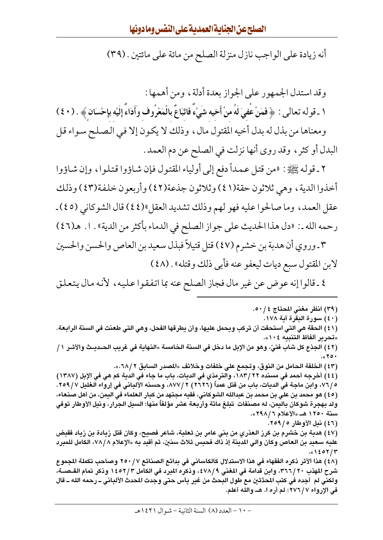أنه زيادة على الواجب نازل منزلة الصلح من مائة على مائتين . (٣٩)

وقد استدل الجمهور على الجواز بعدة أدلة، ومن أهمها :

١ ـ قوله تعالى : ﴿ فَمَنْ عُفِيَ لَهُ منْ أَخيه شَيْءٌ فَاتَّبَاعٌ بِالْمَعْرُوف وَأَدَاءٌ إِلَيْه بِإِحْسَان ﴾ . (٤٠) ومعناها من بذل له بدل أخيه المقتول مال، وذلك لا يكون إلا في الصلح سواء قل البدل أو كثر ، وقد روى أنها نزلت في الصلح عن دم العمد .

٢ ـ قوله ﷺ: «من قتل عمداً دفع إلى أولياء المقتول فإن شاؤوا قتلوا، وإن شاؤوا أخذوا الدية ، وهي ثلاثون حقة(٤١) وثلاثون جذعة(٤٢) وأربعون خلفة(٤٣) وذلك عقل العمد، وما صالحوا عليه فهو لهم وذلك تشديد العقل "(٤٤) قال الشوكاني (٤٥) ـ رحمه الله ـ: «دل هذا الحديث على جواز الصلح في الدماء بأكثر من الدية» . ١. هـ(٤٦)

٣ ـ وروى أن هدبة بن خشرم (٤٧) قتل قتيلاً فبذل سعيد بن العاص والحسن والحسين لابن المقتول سبع ديات ليعفو عنه فأبي ذلك وقتله» . (٤٨)

٤ ـ قالوا إنه عوض عن غير مال فجاز الصلح عنه بما اتفقوا عليه، لأنه مال يتعلق

(٣٩) انظر مغني المحتاج ٤ / ٥٠. (٤٠) سورة البقرة آية ١٧٨. (٤١) الحقة هي التي استحقت أن تركب ويحمل عليها، وأن يطرقها الفحل، وهي التي طعنت في السنة الرابعة. «تحرير ألفاظ التنبيه ١٠٤». (٤٢) الجذع كل شاب فتىّ، وهو من الإبل ما دخل في السنة الخامسة «النهاية في غريب الحـديـث والأثـر ١ /  $.07$ <sub>m</sub>. (٤٣) الخلفة الحامل من النوق، وتجمع على خلفات وخلائف «المصدر السابق ٢ /٦٨.». (٤٤) أخرجه أحمد في مسنده ٢٢/ ١٨٣، والترمذي في الديات، باب ما جاء في الدية كم هي في الإبل (١٣٨٧) 0 / ٧٧، وابن ماجة في الديات، باب من قتل عمداً (٢٦٢٦) ٨٧٧/٢، وحسنه الألباني في إرواء الغليل ٧ / ٢٥٩. (٤٥) هو محمد بن علي بن محمد بن عبدالله الشوكاني، فقيه مجتهد من كبار العلماء في اليمن، من أهل صنعاء، ولد بهجرة شوكان باليمن، له مصنفات تبلغ مائة وأربعة عشر مؤلفاً منها: السيل الجرار، ونيل الأوطار توفى سنة ١٢٥٠ هـ. «الأعلام ٢٩٨/٦». (٤٦) نيل الأوطار ٢٥٩/٥. (٤٧) هدبة بن خشرم بن كرز العذري من بني عامر بن ثعلبة، شاعر فصبح، وكان قتل زيادة بن زياد فقبض عليه سعيد بن العاص وكان والى المدينة إذ ذاك فحبس ثلاث سنين، ثم أقيد به «الإعلام ٧٨/٨، الكامل للمبرد ۰«۱٤٥۲/۳ (٤٨) هذا الأثر ذكره الفقهاء في هذا الاستدلال كالكاساني في بدائع الصنائع ٢٥٠/٧ وصاحب تكملة المجموع شرح المهذب ٣٦٦/٢٠، وابن قدامة في المغني ٤٧٨/٩، وذكره المبرد فى الكامل ١٤٥٢/٣ وذكر تمام القـصــة، ولكني لم أجده في كتب المحدِّثين مع طول البحث من غير يأس حتى وجدت المحدث الألباني ــ رحمه الله ــ قال في الإرواء ٢٧٦/٧: لم أره ا. هـــ والله أعلم.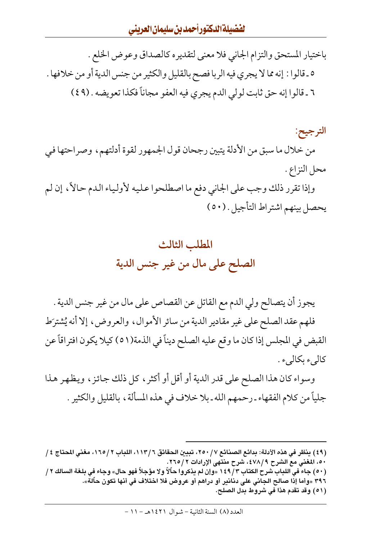باختيار المستحق والتزام الجاني فلا معنى لتقديره كالصداق وعوض الخلع . ٥ ـ قالوا : إنه مما لا يجري فيه الربا فصح بالقليل والكثير من جنس الدية أو من خلافها . ٦ ـ قالوا إنه حق ثابت لولي الدم يجري فيه العفو مجاناً فكذا تعويضه . (٤٩)

الترجيح: من خلال ما سبق من الأدلة يتبين رجحان قول الجمهور لقوة أدلتهم، وصراحتها في محل النزاع . وإذا تقرر ذلك وجب على الجاني دفع ما اصطلحوا عليه لأولياء الدم حالاً، إن لم

يحصل بينهم اشتراط التأجيل . (٥٠)

## المطلب الثالث الصلح على مال من غير جنس الدية

يجوز أن يتصالح ولي الدم مع القاتل عن القصاص على مال من غير جنس الدية . فلهم عقد الصلح على غير مقادير الدية من سائر الأموال ، والعروض ، إلا أنه يُشترَط القبض في المجلس إذا كان ما وقع عليه الصلح ديناً في الذمة(٥١) كيلا يكون افتراقاً عن كالىء بكالىء .

وسواء كان هذا الصلح على قدر الدية أو أقل أو أكثر ، كل ذلك جائز ، ويظهر هذا جلياً من كلام الفقهاء ـ رحمهم الله ـ بلا خلاف في هذه المسألة ، بالقليل والكثير .

- (49) ينظر في هذه الأدلة: بدائع الصنائع ٧/ ٢٥٠، تبيين الحقائق ٦/ ١١٣، اللباب ٢/ ١٦٥، مغني المحتاج ٤/ ٥٠، المغنى مع الشرح ٤٧٨/٩، شرح منتهى الإرادات ٢ /٢٦٥. (٥٠) جاء في اللباب شرح الكتاب ١٤٩/٣ «وإن لم يذكروا حاَلاً ولا مؤجلاً فهو حال» وجاء فى بلغة السالك ٢ / ٣٩٦ «وأما إذا صالح الجاني على دنانير أو دراهم أو عروض فلا اختلاف في أنها تكون حألة».
	- (٥١) وقد تقدم هذا في شروط بدل الصلح.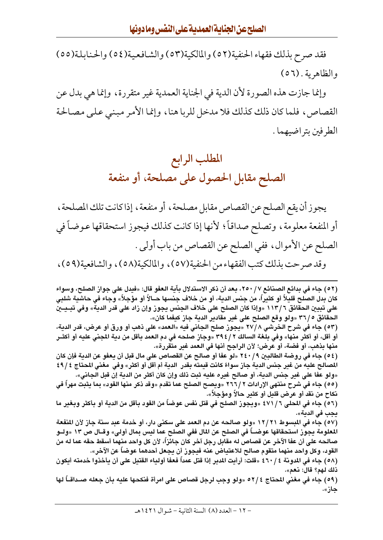فقد صرح بذلك فقهاء الحنفية(٥٢) والمالكية(٥٣) والشافعية(٥٤) والحنابلة(٥٥) والظاهرية . (٥٦)

وإنما جازت هذه الصورة لأن الدية في الجناية العمدية غير متقررة، وإنما هي بدل عن القصاص، فلما كان ذلك كذلك فلا مدخل للربا هنا، وإنما الأمر مبنى على مصالحة الطر فين بتر اضيهما .

## المطلب الرابع الصلح مقابل الحصول على مصلحة، أو منفعة

يجوز أن يقع الصلح عن القصاص مقابل مصلحة ، أو منفعة ، إذا كانت تلك المصلحة ، أو المنفعة معلومة ، وتصلح صداقاً؛ لأنها إذا كانت كذلك فيجوز استحقاقها عوضاً في الصلح عن الأموال، ففي الصلح عن القصاص من باب أولى . وقد صرحت بذلك كتب الفقهاء من الحنفية(٥٧) ، والمالكية(٥٨) ، والشافعية(٥٩) ،

(٥٢ ) جاء في بدائع الصنائع ٢٥٠/٧، بعد أن ذكر الاستدلال بآية العفو قال: «فيدل على جواز الصلح، وسواء كان بدل الصلح قليلاً أو كثيراً، من جنس الدية، أو من خلاف جنسها حــالاً أو مؤجلاً» وجاء في حاشية شلبي علي تبيين الحقائق ١١٣/٦ «وإذا كان الصلح علي خلاف الجنس يجوز وإن زاد علي قدر الدية» وفي تبـيــين الحقائق ٣٦/٥ «ولو وقع الصلح على غير مقادير الدية جاز كيفما كان».

(٥٣) جاء في شرح الخرشي ٨ /٢٧ «يجوز صلح الجاني فيه «العمد» على ذهب أو ورق أو عرض، قدر الدية، أو أقل، أو أكثر منها» وفي بلغة السالك ٢ / ٣٩٤ «وجاز صلحه في دم العمد بأقل من دية المجنى عليه أو أكثـر منها بذهب، أو فضة، أو عرض؛ لأن الراجح أنها في العمد غير متقررة».

(٥٤) جاء في روضة الطالبين ٢٤٠/٩ «لو عفا أو صالح عن القصاص على مال قبل أن يعفو عن الدية فإن كان المصالح عليه من غير جنس الدية جاز سواءً كانت قيمته بقدر الدية أم أقل أو أكثر » وفي مغني المحتاج ٤٩/٤ «ولو عفا على غير جنس الدية، أو صالح غيره عليه ثبت ذلك وإن كان أكثر من الدية إن قبل الجاني».

(٥٥) جاء في شرح منتهى الإرادات ٢ /٢٦٦ «ويصح الصلح عما تقدم «وقد ذكر منها القود» بما يثبت مهراً في نكاح من نقد أو عرض قليل أو كثير حالاً ومؤجلاً».

(٥٦) جاء في المحلي 1 / ٤٧١ «ويجوز الصلح في قتل نفس عوضاً من القود بأقل من الدية أو بأكثر وبغير ما يجب في الدية».

(٥٧) جاء في المبسوط ١٢/٢١ «ولو صالحه عن دم العمد على سكني دار، أو خدمة عبد سنة جاز لأن المنفعة المعلومة يجوز استحقاقها عوضـــاً في الصلح عن المال ففي الصلح عما ليس بمال أولي» وقــال ص ١٣ «ولــو صالحه على أن عفا الآخر عن قصاص له مقابل رجل آخر كان جائزاً، لأن كل واحد منهما أسقط حقه عما له من القود، وكل واحد منهما متقوم صالح للاعتياض عنه فيجوز أن يجعل أحدهما عوضاً عن الآخر».

(٥٨) جاء في المدونة ٤ / ٤٦٠ «قلت: أرأيت المدبر إذا قتل عمداً فعفا أولياء القتيل على أن يأخذوا خدمته أيكون ذلك لهم؟ قال: نعم».

(٥٩) جاء في مغني المتاج ٢ /٥٢ «ولو وجب لرجل قصاص على امرأة فنكحها عليه بأن جعله صـداقــأ لها جاز».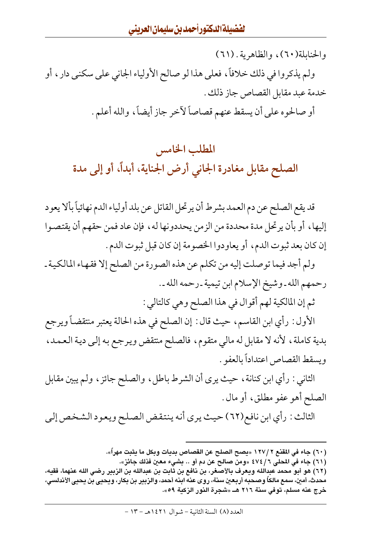والحنابلة(٦٠)، والظاهرية . (٦١) ولم يذكروا في ذلك خلافاً، فعلى هذا لو صالح الأولياء الجاني على سكني دار ، أو خدمة عبد مقابل القصاص جاز ذلك . أو صالحوه على أن يسقط عنهم قصاصاً لأخر جاز أيضاً، والله أعلم.

# المطلب الخامس الصلح مقابل مغادرة الجاني أرض الجناية، أبداً، أو إلى مدة

قد يقع الصلح عن دم العمد بشرط أن يرتحل القاتل عن بلد أولياء الدم نهائياً بألا يعود إليها، أو بأن يرتحل مدة محددة من الزمن يحددونها له، فإن عاد فمن حقهم أن يقتصوا إن كان بعد ثبوت الدم، أو يعاودوا الخصومة إن كان قبل ثبوت الدم .

ولم أجد فيما توصلت إليه من تكلم عن هذه الصورة من الصلح إلا فقهاء المالكية ـ رحمهم الله ـ وشيخ الإسلام ابن تيمية ـ رحمه الله ـ .

ثم إن المالكية لهم أقوال في هذا الصلح وهي كالتالي :

الأول : رأي ابن القاسم، حيث قال : إن الصلح في هذه الحالة يعتبر منتقضاً ويرجع بدية كاملة، لأنه لا مقابل له مالي متقوم، فالصلح منتقض ويرجع به إلى دية العمد، ويسقط القصاص اعتداداً بالعفو .

الثاني : رأي ابن كنانة ، حيث يرى أن الشرط باطل ، والصلح جائز ، ولم يبين مقابل الصلح أهو عفو مطلق، أو مال .

الثالث : رأي ابن نافع(٦٢) حيث يرى أنه ينتقض الصلح ويعود الشخص إلى

(٦٠) جاء في المقنع ٢ /١٢٧ «يصح الصلح عن القصاص بديات وبكل ما يثبت مهراً».

(٦١) جاء في المحلي ٤٧٤/٦ «ومن صالح عن دم أو .. بشيء معين فذلك جائز».

<sup>(</sup>٦٢) هو أبو محمد عبدالله ويعرف بالأصغر، بن نافع بن ثابت بن عبدالله بن الزبير رضى الله عنهما، فقيه، محدث، أمين، سمع مالكاً وصحبه أربعين سنة، روى عنه ابنه أحمد، والزبير بن بكار، ويحيى بن يحيى الأندلسي، خرج عنه مسلم، توفي سنة ٢١٦ هـ. «شجرة النور الزكية ٥٩».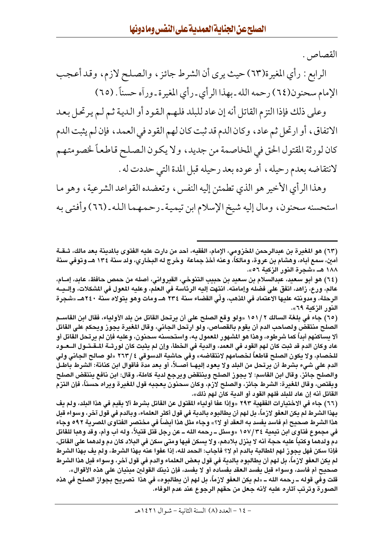القصاص .

الرابع : رأي المغيرة(٦٣) حيث يرى أن الشرط جائز ، والصلح لازم، وقد أعجب الإمام سحنون(٦٤) رحمه الله ـ بهذا الرأي ـ رأى المغيرة ـ وراّه حسناً . (٦٥)

وعلى ذلك فإذا التزم القاتل أنه إن عاد للبلد فلهم القود أو الدية ثم لم يرتحل بعد الاتفاق، أو ارتحل ثم عاد، وكان الدم قد ثبت كان لهم القود في العمد، فإن لم يثبت الدم كان لورثة المقتول الحق في المخاصمة من جديد، ولا يكون الصلح قاطعاً لخصومتهم لانتقاضه بعدم رحيله ، أو عوده بعد رحيله قبل المدة التي حددت له .

وهذا الرأى الأخير هو الذي تطمئن إليه النفس، وتعضده القواعد الشرعية، وهو ما استحسنه سحنون، ومال إليه شيخ الإسلام ابن تيمية ـ رحمهما الله ـ (٦٦) وأفتى به

(٦٥) جاء في بلغة السالك ٢ / ١٥١ «ولو وقع الصلح على أن يرتحل القاتل من بلد الأولياء، فقال ابن القاسـم الصلح منتقض ولصاحب الدم أن يقوم بالقصاص، ولو ارتحل الجاني، وقال المغيرة يجوز ويحكم على القاتل ألا يساكنهم أبداً كما شرطوه، وهذا هو المشهور المعمول به، واستحسنه سحنون، وعليه فإن لم يرتحل القاتل أو عاد وكان الدم قد ثبت كان لهم القود في العمد، والدية في الخطأ، وإن لم يثبت كان لورثــة الــقــتــول الــعــود للخصام، ولا يكون الصلح قاطعاً لخصامهم لانتقاضه» وفي حاشية الدسوقي ٢ / ٢٦٣ «لو صالح الجاني ولي الدم على شيء بشرط أن يرتحل من البلد ولا يعود إليهـا أصــلاً، أو بـعد مدة فأقوال ابن كنانة: الشرط باطـل والصلح جائز. وقال ابن القاسم: لا يجوز الصلح وينتقض ويرجع لدية كاملة، وقال: ابن نافع ينتقض الصلح ويقتص، وقال المغيرة: الشرط جائز، والصلح لازم، وكان سحنون يعجبه قول المغيرة ويراه حسناً، فإن التزم القاتل أنه إن عاد للبلد فلهم القود أو الدية كان لهم ذلك».

(٦٦) جاء في الاختيارات الفقهية ٢٩٣ «وإذا عفا أولياء المقتول عن القاتل بشرط ألا يقيم في هذا البلد، ولم يف بهذا الشرط لم يكن العفو لازماً، بل لهم أن يطالبوه بالدية في قول أكثر العلماء، وبالدم في قول آخر، وسواء قيل هذا الشرط صحيح أم فاسد يفسد به العقد أو لا؟» وجاء مثل هذا أيضاً في مختصر الفتاوى المصرية ٩٩٢ وجاء في مجموع فتاوى ابن تيمية ٢٤/٣٤ «وسئل ــ رحمه الله ــ عن رجل قتل قتيلاً، وله أب وأم، وقد وهبا للقاتل دم ولدهما وكتباً عليه حجة أنه لا ينزل بلادهم، ولا يسكن فيها ومتى سكن في البلاد كان دم ولدهما على القاتل، فإذا سكن فهل يجوز لهم المطالبة بالدم أم لا؟ فأجاب: الحمد لله، إذا عفوا عنه بهذا الشرط، ولم يف بهذا الشرط لم يكن العفو لازماً، بل لهم أن يطالبوه بالدية في قول بعض العلماء والدم في قول آخر، وسواء قيل هذا الشرط صحيح أم فاسد، وسواء قيل يفسد العقد بفساده أو لا يفسد، فإن ذينك القولين مبنيان على هذه الأقوال». قلت وفي قوله ــ رحمه الله ــ «لم يكن العفو لازماً، بل لهم أن يطالبوه» في هذا تصريح بجواز الصلح في هذه الصورة وترتب آثاره عليه لأنه جعل من حقهم الرجوع عند عدم الوفاء.

<sup>(</sup>٦٣) هو المغررة بن عبدالرحمن المخزومي، الإمام، الفقيه، أحد من دارت عليه الفتوى بالمدينة بعد مالك، شـقـة أمن، سمع أباه، وهشام بن عروة، ومالكاً، وعنه أخذ جماعة ۖ وخرج له البخاري، ولد سنة ١٣٤ هـ وتوفي سنة ۱۸۸ هــ «شجرة النور الزكية ٥٦».

<sup>(</sup>٦٤) هو أبو سعيد، عبدالسلام بن سعيد بن حبيب التنوخي، القيرواني، أصله من حمص حافظ، عابد، إمــام، عالم، ورع، زاهد، اتفق على فضله وإمامته. انتهت إليه الرئاسة في العلم، وعليه المعول في المشكلات، وإلــيــه الرحلة، ومدونته عليها الاعتماد في المذهب، ولّي القضاء سنة ٢٣٤ هـ. ومات وهو يتولاه سنة ٢٤٠هـ. «شجرة النور الزكبة ٦٩».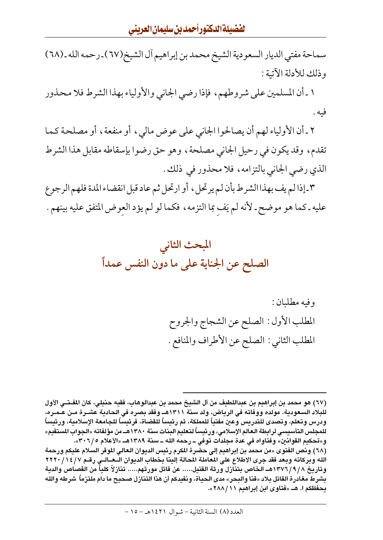سماحة مفتى الديار السعودية الشيخ محمد بن إبراهيم أل الشيخ(٦٧) ـ رحمه الله ـ (٦٨) وذلك للأدلة الآتية :

١ ـ أن المسلمين على شروطهم، فإذا رضي الجاني والأولياء بهذا الشرط فلا محذور فيه .

٢ ـ أن الأولياء لهم أن يصالحوا الجاني على عوض مالي، أو منفعة، أو مصلحة كما تقدم، وقد يكون في رحيل الجاني مصلحة، وهو حق رضوا بإسقاطه مقابل هذا الشرط الذي رضي الجاني بالتزامه، فلا محذور في ذلك.

٣-إذا لم يف بهذا الشرط بأن لم يرتحل ، أو ارتحل ثم عاد قبل انقضاء المدة فلهم الرجوع عليه ـ كما هو موضح ـ لأنه لم يَف بما التزمه ، فكما لو لم يؤد العوض المتفق عليه بينهم .



وفيه مطلبان : المطلب الأول : الصلح عن الشجاج والجروح المطلب الثاني : الصلح عن الأطراف والمنافع .

<sup>(</sup>٦٧) هو محمد بن إبراهيم بن عبداللطيف من آل الشيخ محمد بن عبدالوهاب، فقيه حنبلي، كان المفـتـي الأول للبلاد السعودية. مولده ووفاته في الرياض، ولد سنة ١٣١١هـ. وفقد بصره في الحادية عشــرة مــن عــمــره، ودرس وتعلم، وتصدى للتدريس وعين مفتياً للمملكة، ثم رئيساً للقضاة، فرئيساً للجامعة الإسلامية، ورئيساً للمجلس التأسيسى لرابطة العالم الإسلامى، ورئيساً لتعليم البنات سنة ١٣٨٠هــ من مؤلفاته «الجواب المستقيم» و«تحكيم القوانين» وفتاواه في عدة مجلدات توفي ــ رحمه الله ــ سنة ١٣٨٩هــ «الأعلام ٣٠٦/٥».

<sup>(</sup>٦٨) ونص الفتوى «من محمد بن إبراهيم إلى حضرة المكرم رئيس الديوان الـعالي الموقر السلام عليكم ورحمة الله وبركاته وبعد فقد جرى الاطلاع على المعاملة المحالة إلينا بخطاب الديوان الــعــالــى رقــم ١٤/٧/ ٢٢٢٠ وتاريخ ١٣٧٦/٩/٨- الخاص بتنازل ورثة القتيل..... عن قاتل مورثهم..... تنازلاً كلياً من القصاص والدية بشرط مغادرة القاتل بلاد «قنا والبحر» مدى الحياة، ونفيدكم أن هذا التنازل صحيح ما دام ملتزماً شرطه والله يحفظكم ا. هــ «فتاوى ابن إبراهيم ٢٨٨/١١».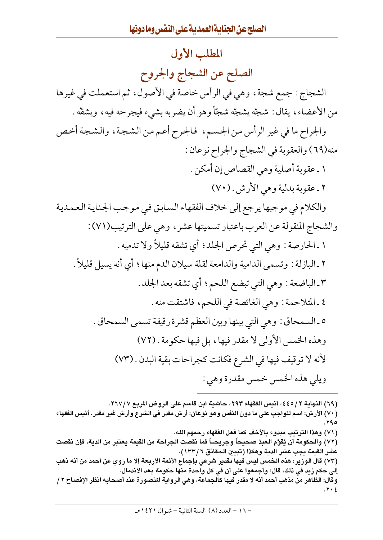## المطلب الأول الصلح عن الشجاج والجروح الشجاج : جمع شجة ، وهي في الرأس خاصة في الأصول، ثم استعملت في غيرها من الأعضاء، يقال : شجّه يشجّه شجّاً وهو أن يضربه بشيء فيجرحه فيه، ويشقّه . والجراح ما في غير الرأس من الجسم، ۖ فالجرح أعم من الشجة، والشجة أخص منه(٦٩) والعقوبة في الشجاج والجراح نوعان : ١ ـ عقوبة أصلية وهي القصاص إن أمكن . ٢ ـ عقوبة بدلية وهي الأرش . (٧٠) والكلام في موجبها يرجع إلى خلاف الفقهاء السابق في موجب الجناية العمدية والشجاج المنقولة عن العرب باعتبار تسميتها عشر ، وهي على الترتيب(٧١): ١ ـ الحارصة : وهي التي تحرص الجلد؛ أي تشقه قليلاً ولا تدميه . ٢ ـ البازلة : وتسمى الدامية والدامعة لقلة سيلان الدم منها ؛ أي أنه يسيل قليلاً . ٣ ـ الباضعة : وهي التي تبضع اللحم؛ أي تشقه بعد الجلد . ٤ ـ المتلاحمة : وهي الغائصة في اللحم، فاشتقت منه . ٥ ـ السمحاق : وهي التي بينها وبين العظم قشرة رقيقة تسمى السمحاق . وهذه الخمس الأولى لا مقدر فيها، بل فيها حكومة . (٧٢) لأنه لا توقيف فيها في الشرع فكانت كجراحات بقية البدن . (٧٣) ويلي هذه الخمس خمس مقدرة وهي :

(٦٩) النهاية ٢ / ٤٤٥، أنيس الفقهاء ٢٩٣، حاشية ابن قاسم على الروض المربع ٢٦٧/٧. (٧٠) الأرش: اسم للواجب على ما دون النفس وهو نوعان: أرش مقدر في الشرع وأرش غير مقدر. أنيس الفقهاء ه ۲۹. (٧١) وهذا الترتيب مبدوء بالأخف كما فعل الفقهاء رحمهم الله. (٧٢) والحكومة أن يُقوَّم العبدُ صحيحاً وجريحـــاً فما نقصت الجراحة من القيمة يعتبر من الدية، فإن نقصت عشر القيمة بجب عشر الدية وهكذا (تبيين الحقائق ٦ / ١٣٣). (٧٣) قال الوزبر: هذه الخمس لبس فبها تقدير شرعي بإجماع الأئمة الأربعة إلا ما روي عن أحمد من أنه ذهب إلى حكم زيد في ذلك، قال: وأجمعوا على أن في كل واحدة منها حكومة بعد الاندمال. وقال: الظاهر من مذهب أحمد أنه لا مقدر فيها كالجماعة، وهي الرواية المنصورة عند أصحابه انظر الإفصاح ٢ / ۰. ۶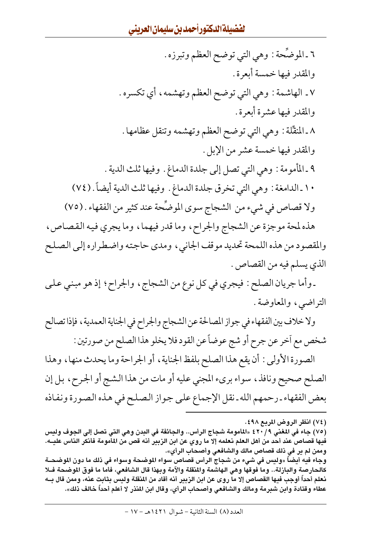٦ ـ الموضَّحة : وهي التي توضح العظم وتبرزه . والمقدر فيها خمسة أبعرة . ٧. الهاشمة : وهي التي توضح العظم وتهشمه، أي تكسره. والمقدر فيها عشرة أبعرة . ٨ ـ المنقِّلة : وهي التي توضح العظم وتهشمه وتنقل عظامها . والمقدر فيها خمسة عشر من الإبل . ٩ ـ المأمومة : وهي التي تصل إلى جلدة الدماغ . وفيها ثلث الدية . ١٠ ـ الدامغة : وهي التي تخرق جلدة الدماغ . وفيها ثلث الدية أيضاً . (٧٤) ولا قصاص في شيء من الشجاج سوى الموضَّحة عند كثير من الفقهاء . (٧٥) هذه لمحة موجزة عن الشجاج والجراح، وما قدر فيهما، وما يجري فيه القصاص، والمقصود من هذه اللمحة تحديد موقف الجاني، ومدى حاجته واضطراره إلى الصلح

الذي يسلم فيه من القصاص .

ـ وأما جريان الصلح : فيجري في كل نوع من الشجاج ، والجراح ؛ إذ هو مبنى على التراضي، والمعاوضة.

ولا خلاف بين الفقهاء في جواز المصالحة عن الشجاج والجراح في الجناية العمدية ، فإذا تصالح شخص مع أخر عن جرح أو شج عوضاً عن القود فلا يخلو هذا الصلح من صورتين :

الصورة الأولى: أن يقع هذا الصلح بلفظ الجناية، أو الجراحة وما يحدث منها، وهذا الصلح صحيح ونافذ، سواء بريء المجنى عليه أو مات من هذا الشج أو الجرح، بل إن بعض الفقهاء ـ رحمهم الله ـ نقل الإجماع على جواز الصلح في هذه الصورة ونفاذه

كالحارصة والبازلة.. وما فوقها وهي الهاشمة والمنقلة والآمة وبهذا قال الشافعي، فأما ما فوق الموضحة فـلا نعلم أحداً أوجب فدها القصاص إلا ما روى عن ابن الزبير أنه أقاد من المنقلة ولبس بثابت عنه، وممن قال بــه عطاء وقتادة وابن شبرمة ومالك والشافعي وأصحاب الرأى، وقال ابن المنذر لا أعلم أحداً خالف ذلك».

<sup>(</sup>٧٤) انظر الروض المربع ٤٩٨.

<sup>(</sup>٧٥) جاء في المغني ٤٢٠/٩ «المأمومة شجاج الرأس.. والجائفة في البدن وهي التي تصل إلى الجوف وليس فيها قصاص عند أحد من أهل العلم نعلمه إلا ما روي عن ابن الزبير أنه قص من المأمومة فأنكر الناس عليــه. وممن لم ير في ذلك قصاص مالك والشافعي وأصحاب الرأي». وجاء فيه أيضاً «وليس في شيء من شجاج الرأس قصاص سواء الموضحة وسواء في ذلك ما دون الموضحــة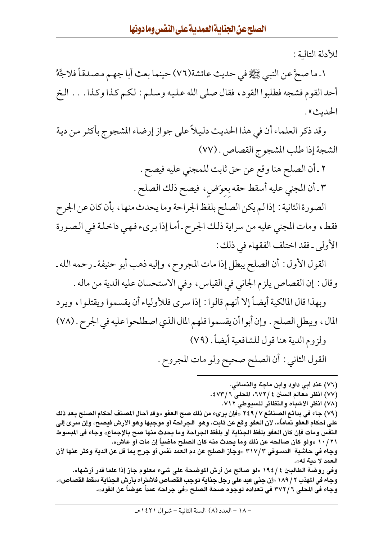للأدلة التالية :

١ ـ ما صحَّ عن النبي ﷺ في حديث عائشة(٧٦) حينما بعث أبا جهم مصدقاً فلاجَّهُ أحد القوم فشجه فطلبوا القود، فقال صلى الله عليه وسلم : لكم كذا وكذا. . . الخ الحديث» .

وقد ذكر العلماء أن في هذا الحديث دليلاً على جواز إرضاء المشجوج بأكثر من دية الشجة إذا طلب المشجوج القصاص . (٧٧)

> ٢ ـ أن الصلح هنا وقع عن حق ثابت للمجنى عليه فيصح . ٣ ـ أن المجني عليه أسقط حقه بعوَضٍ، فيصح ذلك الصلح .

الصورة الثانية : إذا لم يكن الصلح بلفظ الجراحة وما يحدث منها ، بأن كان عن الجرح فقط، ومات المجنى عليه من سراية ذلك الجرح ـ أما إذا بريء فهي داخلة في الصورة الأولى ـ فقد اختلف الفقهاء في ذلك :

القول الأول : أن الصلح يبطل إذا مات المجروح ، وإليه ذهب أبو حنيفة ـ رحمه الله ـ وقال : إن القصاص يلزم الجاني في القياس، وفي الاستحسان عليه الدية من ماله .

وبهذا قال المالكية أيضاً إلا أنهم قالوا : إذا سرى فللأولياء أن يقسموا ويقتلوا، ويرد المال، ويبطل الصلح . وإن أبوا أن يقسموا فلهم المال الذي اصطلحوا عليه في الجرح . (٧٨) ولزوم الدية هنا قول للشافعية أيضاً . (٧٩)

القول الثاني : أن الصلح صحيح ولو مات المجروح .

(٧٦) عند أبي داود وابن ماجة والنسائي. (٧٧) انظر معالم السنن ٤ / ٦٧٢، المحلي ٤ / ٤٧٣. (٧٨) انظر الأشباه والنظائر للسيوطي ٧١٢. (٧٩) جاء في بدائع الصنائع ٢٤٩ /٧ «فإن بريء من ذلك صح العفو «وقد أحال المصنف أحكام الصلح بعد ذلك على أحكام العفو تماماً»، لأن العفو وقع عن ثابت، وهو الجراحة أو موجبها وهو الأرش فيصح، وإن سرى إلى النفس ومات فإن كان العفو بلفظ الجناية أو بلفظ الجراحة وما يحدث منها صح بالإجماع» وجاء في المسوط ١٠ / ١٧ «ولو كان صالحه عن ذلك وما يحدث منه كان الصلح ماضياً إن مات أو عاش». وجاء في حاشية الدسوقي ٣١٧/٣ «وجاز الصلح عن دم العمد نفس أو جرح بما قل عن الدية وكثر عنها لأن العمد لا دبة له». وفي روضة الطالبين ٤ / ١٩٤ «لو صالح من أرش الموضحة على شيء معلوم جاز إذا علما قدر أرشها». وجاء في المهذب ٢ / ١٨٩ «إن جني عبد علي رجل جناية توجب القصاص فاشتراه بأرش الجناية سقط القصاص». وجاء في المحلي ٣٧٢/٦ في تعداده لوجوه صحة الصلح «في جراحة عمداً عوضاً عن القود».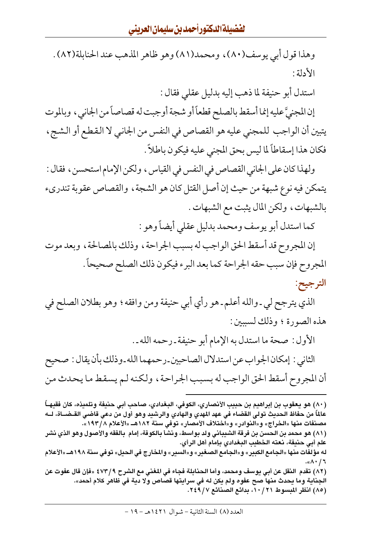وهذا قول أبي يوسف(٨٠)، ومحمد(٨١) وهو ظاهر المذهب عند الحنابلة(٨٢) . الأدلة :

استدل أبو حنيفة لما ذهب إليه بدليل عقلبي فقال :

إن المجنيَّ عليه إنما أسقط بالصلح قطعاً أو شجة أوجبت له قصاصاً من الجاني ، وبالموت يتبين أن الواجب للمجنى عليه هو القصاص في النفس من الجانبي لا القطع أو الشج ، فكان هذا إسقاطاً لما ليس بحق المجنى عليه فيكون باطلاً .

ولهذا كان على الجاني القصاص في النفس في القياس ، ولكن الإمام استحسن ، فقال : يتمكن فيه نوع شبهة من حيث إن أصل القتل كان هو الشجة ، والقصاص عقوبة تندريء بالشبهات، ولكن المال يثبت مع الشبهات .

كما استدل أبو يوسف ومحمد بدليل عقلي أيضاً وهو :

إن المجروح قد أسقط الحق الواجب له بسبب الجراحة ، وذلك بالمصالحة ، وبعد موت المجروح فإن سبب حقه الجراحة كما بعد البرء فيكون ذلك الصلح صحيحاً . الترجيح:

الذي يترجح لي ـ والله أعلم ـ هو رأي أبي حنيفة ومن وافقه؛ وهو بطلان الصلح في هذه الصورة ؛ وذلك لسببين :

الأول : صحة ما استدل به الإمام أبو حنيفة ـ رحمه الله ـ . الثاني : إمكان الجواب عن استدلال الصاحبين ـ رحمهما الله ـ وذلك بأن يقال : صحيح أن المجروح أسقط الحق الواجب له بسبب الجراحة ، ولكنه لم يسقط ما يحدث من

<sup>(</sup>٨٠) هو يعقوب بن إبراهيم بن حبيب الأنصاري، الكوفي، البغدادي، صاحب أبي حنيفة وتلميذه، كان فقيهــأ عالماً من حفاظ الحديث تولى القضاء في عهد المهدي والهادي والرشيد وهو أول من دعى قاضى القـضــاة، لــه مصنفات منها «الخراج» و«النوادر» و«اختلاف الأمصار» توفي سنة ١٨٢هـ «الأعلام ١٩٣/٨». (٨١) هو محمد بن الحسن بن فرقة الشيباني ولد بواسط، ونشأ بالكوفة، إمام بالفقه والأصول وهو الذي نشر علم أبي حنيفة، نعته الخطيب البغدادي بإمام أهل الرأي. له مؤلفات منها «الجامع الكبير» و«الجامع الصغير» و«السير» والمخارج في الحيل» توفي سنة ١٩٨هــ «الأعلام ۰«۸۰/٦ (٨٢) تقدم النقل عن أبي يوسف ومحمد، وأما الحنابلة فجاء في المغني مع الشرح ٤٧٣/٩ «فإن قال عفوت عن الجناية وما يحدث منها صح عفوه ولم يكن له في سرايتها قصاص ولا دية في ظاهر كلام أحمد». (٨٥) انظر المبسوط ٢١ / ١٠، بدائع الصنائع ٢٤٩/٧.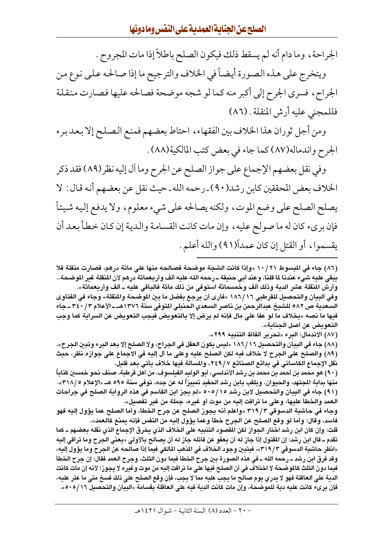الجراحة، وما دام أنه لم يسقط ذلك فيكون الصلح باطلاً إذا مات المجروح .

ويتخرج على هذه الصورة أيضاً في الخلاف والترجيح ما إذا صالحه على نوع من الجراح، فسرى الجرح إلى أكبر منه كما لو شجه موضحة فصالحه عليها فصارت منقلة فللمجنى عليه أرش المنقلة . (٨٦)

ومن أجل ثوران هذا الخلاف بين الفقهاء، احتاط بعضهم فمنع الصلح إلا بعد برء الجرح واندماله(٨٧) كما جاء في بعض كتب المالكية(٨٨) .

وفي نقل بعضهم الإجماع على جواز الصلح عن الجرح وما أل إليه نظر(٨٩) فقد ذكر الخلاف بعض المحققين كابن رشد(٩٠) ـ رحمه الله ـ حيث نقل عن بعضهم أنه قال : لا يصلح الصلح على وضع الموت، ولكنه يصالحه على شيء معلوم، ولا يدفع إليه شيئاً فإن بريء كان له ما صولح عليه ، وإن مات كانت القسامة والدية إن كان خطأ بعد أن يقسموا، أو القتل إن كان عمداً(٩١) والله أعلم.

(٨٦) جاء في المبسوط ٢١ / ١٠ «وإذا كانت الشجة موضحة فصالحه منها على مائة درهم، فصارت منقلة فلا يبقي عليه شيء عندنا Ll قلنا، وعند أبي حنيفة ــ رحمه الله عليه ألف وأربعمائة درهم لأن المنقلة غير الموضحة.. وأرش المنقلة عشر الدية وذلك ألف وخمسمائة استوفى من ذلك مائة فالباقي عليه ـ ألف وأربعمائة».

وفي البدان والتحصدل للقرطبي ١٨٦/١٦ «فأرى أن برجع بفضل ما بـن الموضحة والمنقلة» وجاء في الفتاوي السعدية ص ٥٨٢ للشيخ عبدالرحمن بن ناصر السعدي الحنبلي المتوفى سنة ١٣٧٦هـ ـ الأعلام ٣٤٠/٣ ـ جاء فيها ما نصه «بخلاف ما لو عفا على مال فإنه لم يرض إلا بالتعويض فيجب التعويض عن السراية كما وجب التعو يض عن أصل الحناية».

(٨٧) الاندمال: البرء «تحرير ألفاظ التنبيه ٢٩٩».

(٨٨) جاء في البيان والتحصيل ١٨٦/١٦ «ليس يكون الـعقل في الـجراح، ولا الصلح إلا بـعد البرء وتبين الـجرح». (٨٩) والصلح على الجرح لا خلاف فيه لكن الصلح عليه وعلى ما آل إليه في الاجماع على جوازه نظر، حيث نقل الإجماع الكاساني في بدائع الصنائع ٢٤٩/٧، والمسألة فيها خلاف يأتي بعد قليل.

(٩٠) هو محمد بن أحمد بن محمد بن رشد الأندلسي، أبو الوليد الفيلسوف، من أهل قرطبة، صنف نحو خمسين كتاباً منها بدابة المجتهد، والحبوان. وبلقب بابن رشد الحفيد تمبيزاً له عن جده، توفي سنة ٥٩٥ هـ. «الإعلام ٣١٨/٥». (٩١) جاء في البيان والتحصيل لابن رشد 20/ 000 «لم يجز ابن القاسم في هذه الرواية الصلح في جراحات العمد والخطأ عليها، وعلى ما تراقت إليه من موت أو غيره، جملة من غير تفصيل».

وجاء في حاشنة الدسوقي ٣١٩/٣ «واعلم أنه بجوز الصلح عن جرح الخطأ، وأما الصلح عما بؤول إلنه فهو فاسد، وقال: وأما لو وقع الصلح عن الجرح خطأ وعما يؤول إليه من النفس فإنه يمنع كالعمد».

قلت: وإن كان ابن رشد اختار الجواز لكن المقصود التنبيه على الخلاف الذي يخرق الإجماع الذي نقله بعضهم ــ كما تقدم ــ قال ابن رشد: إن المقتول إذا جاز له أن يعفو عن قاتله جاز له أن يصالح بالأولى «يعني الجرح وما تراقي إليه «انظر حاشية الدسوقي ٣/ ٣١٩)»، فيتبيِّن وجود الخلاف في المذهب المالكي فيما إذا صالحه عن الجرح وما يؤول إليه، وقد فرق ابن رشد ــ رحمه الله ــ في هذه الصورة بـن جرح الخطأ فدما دون الثلث، وجرح العمد فقال: إن جرح الخطأ فدما دون الثلث كالموضحة لا اختلاف في أن الصلح فدها على ما تراقت إلىه من موت وغدره لا ىجوز؛ لأنه إن مات كانت الدية على الـعاقلة فهو لا يدري يوم صالح ما يجب عليه مما لا يجب، فإن وقع الصلح على ذلك فسخ متى ما عثر عليه، فإن بريء كانت عليه دبة للموضحة، وإن مات كانت الدبة فيه على العاقلة بقسامة «البيان والتحصيل ١٦/ ٥٠٥».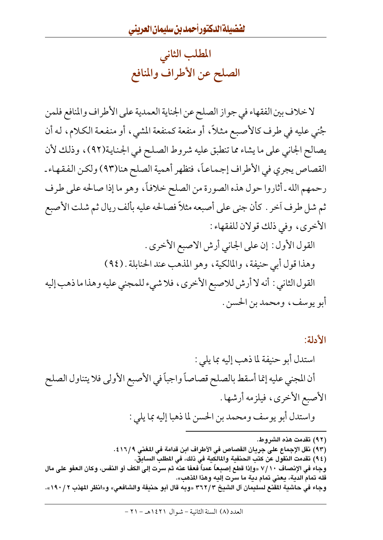المطلب الثانى الصلح عن الأطراف والمنافع

لا خلاف بين الفقهاء في جواز الصلح عن الجناية العمدية على الأطراف والمنافع فلمن جُني عليه في طرف كالأصبع مثلاً، أو منفعة كمنفعة المشي، أو منفعة الكلام، له أن يصالح الجاني على ما يشاء مما تنطبق عليه شروط الصلح في الجناية(٩٢)، وذلك لأن القصاص يجري في الأطراف إجماعاً، فتظهر أهمية الصلح هنا(٩٣) ولكن الفقهاء ـ رحمهم الله ـ أثاروا حول هذه الصورة من الصلح خلافاً، وهو ما إذا صالحه على طرف ثم شل طرف أخر . كأن جني على أصبعه مثلاً فصالحه عليه بألف ريال ثم شلت الأصبع الأخرى، وفي ذلك قولان للفقهاء :

القول الأول : إن على الجاني أرش الاصبع الأخرى . وهذا قول أبي حنيفة، والمالكية، وهو المذهب عند الحنابلة . (٩٤) القول الثاني : أنه لا أرش للاصبع الأخرى ، فلا شيء للمجنى عليه وهذا ما ذهب إليه أبو يوسف، ومحمد بن الحسن .

الأدلة: استدل أبو حنيفة لما ذهب إليه بما يلي : أن المجنى عليه إنما أسقط بالصلح قصاصاً واجباً في الأصبع الأولى فلا يتناول الصلح الأصبع الأخرى، فيلزمه أرشها . واستدل أبو يوسف ومحمد بن الحسن لما ذهبا إليه بما يلي :

(٩٣) نقل الإجماع على جريان القصاص في الأطراف ابن قدامة في المغنى ٤١٦/٩.

( ٩٤) تقدمت النقول عن كتب الحنفية والمالكية في ذلك، في المطلب السابق. وجاء في الإنصاف ٧/١٠ «وإذا قطع إصبعاً عمداً فعفا عنه ثم سرت إلى الكف أو النفس، وكان العفو على مال فله تمام الدية، يعني تمام دية ما سرت إليه وهذا المذهب». وجاء في حاشية المقنع لسليمان آل الشيخ ٣٦٢/٣ «وبه قال أبو حنيفة والشافعي» و«انظر المهذب ٢ / ١٩٠».

العدد (٨) السنة الثانية – شوال ١٤٢١هـ – ٢١ –

<sup>(</sup>٩٢) تقدمت هذه الشروط.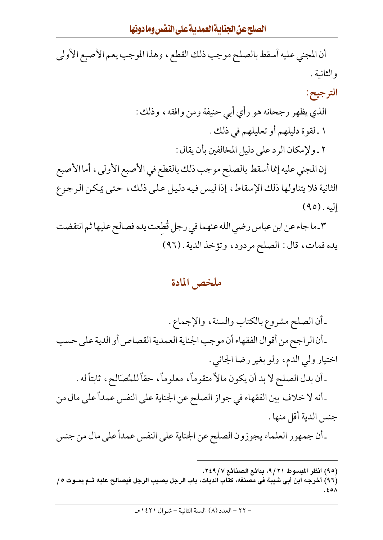أن المجنى عليه أسقط بالصلح موجب ذلك القطع، وهذا الموجب يعم الأصبع الأولى والثانية .

الترجيح:

الذي يظهر رجحانه هو رأي أبي حنيفة ومن وافقه، وذلك : ١ ـ لقوة دليلهم أو تعليلهم في ذلك . ٢ ـ ولإمكان الرد على دليل المخالفين بأن يقال :

إن المجنى عليه إنما أسقط بالصلح موجب ذلك بالقطع في الأصبع الأولى، أما الأصبع الثانية فلا يتناولها ذلك الإسقاط، إذا ليس فيه دليل على ذلك، حتى يمكن الرجوع  $(90)$ . إليه

٣\_ما جاء عن ابن عباس رضي الله عنهما في رجل قُطعت يده فصالح عليها ثم انتقضت يده فمات، قال: الصلح مردود، وتؤخذ الدية . (٩٦)

#### ملخص المادة

ـ أن الصلح مشروع بالكتاب والسنة، والإجماع . ـ أن الراجح من أقوال الفقهاء أن موجب الجناية العمدية القصاص أو الدية على حسب اختيار ولي الدم، ولو بغير رضا الجانبي . ـ أن بدل الصلح لا بد أن يكون مالاً متقوماً، معلوماً، حقاً للمُصَالح، ثابتاً له . ـ أنه لا خلاف بين الفقهاء في جواز الصلح عن الجناية على النفس عمداً على مال من جنس الدية أقل منها . ـ أن جمهور العلماء يجوزون الصلح عن الجناية على النفس عمداً على مال من جنس

<sup>(</sup>٩٥) انظر المبسوط ٩/٢١، بدائع الصنائع ٢٤٩/٧.

<sup>(</sup>٩٦) أخرجه ابن أبي شيبة في مصنفه، كتاب الديات، باب الرجل يصيب الرجل فيصالح عليه ثـم يمـوت ٥/  $.50<sub>A</sub>$